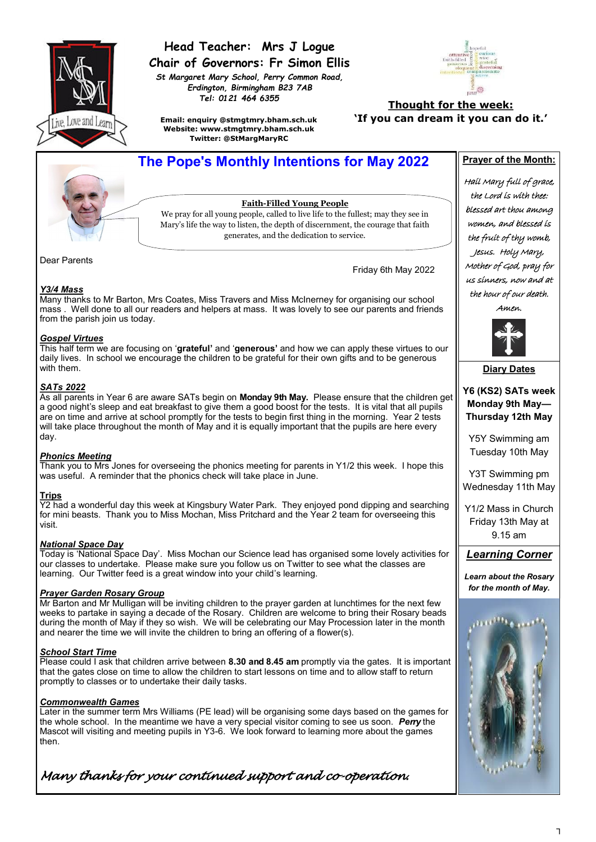

### **Head Teacher: Mrs J Logue Chair of Governors: Fr Simon Ellis**

*St Margaret Mary School, Perry Common Road, Erdington, Birmingham B23 7AB Tel: 0121 464 6355*



**Email: enquiry @stmgtmry.bham.sch.uk Website: www.stmgtmry.bham.sch.uk Twitter: @StMargMaryRC**

#### **Thought for the week: 'If you can dream it you can do it.'**

## **The Pope's Monthly Intentions for May 2022** Prayer of the Month:

**Faith-Filled Young People**

We pray for all young people, called to live life to the fullest; may they see in Mary's life the way to listen, the depth of discernment, the courage that faith generates, and the dedication to service.

Dear Parents

Friday 6th May 2022

#### *Y3/4 Mass*

Many thanks to Mr Barton, Mrs Coates, Miss Travers and Miss McInerney for organising our school mass . Well done to all our readers and helpers at mass. It was lovely to see our parents and friends from the parish join us today.

#### *Gospel Virtues*

This half term we are focusing on '**grateful'** and '**generous'** and how we can apply these virtues to our daily lives. In school we encourage the children to be grateful for their own gifts and to be generous with them.

#### *SATs 2022*

As all parents in Year 6 are aware SATs begin on **Monday 9th May.** Please ensure that the children get a good night's sleep and eat breakfast to give them a good boost for the tests. It is vital that all pupils are on time and arrive at school promptly for the tests to begin first thing in the morning. Year 2 tests will take place throughout the month of May and it is equally important that the pupils are here every day.

#### *Phonics Meeting*

Thank you to Mrs Jones for overseeing the phonics meeting for parents in Y1/2 this week. I hope this was useful. A reminder that the phonics check will take place in June.

#### **Trips**

Y2 had a wonderful day this week at Kingsbury Water Park. They enjoyed pond dipping and searching for mini beasts. Thank you to Miss Mochan, Miss Pritchard and the Year 2 team for overseeing this visit.

#### *National Space Day*

Today is 'National Space Day'. Miss Mochan our Science lead has organised some lovely activities for our classes to undertake. Please make sure you follow us on Twitter to see what the classes are learning. Our Twitter feed is a great window into your child's learning.

#### *Prayer Garden Rosary Group*

Mr Barton and Mr Mulligan will be inviting children to the prayer garden at lunchtimes for the next few weeks to partake in saying a decade of the Rosary. Children are welcome to bring their Rosary beads during the month of May if they so wish. We will be celebrating our May Procession later in the month and nearer the time we will invite the children to bring an offering of a flower(s).

#### *School Start Time*

Please could I ask that children arrive between **8.30 and 8.45 am** promptly via the gates. It is important that the gates close on time to allow the children to start lessons on time and to allow staff to return promptly to classes or to undertake their daily tasks.

#### *Commonwealth Games*

Later in the summer term Mrs Williams (PE lead) will be organising some days based on the games for the whole school. In the meantime we have a very special visitor coming to see us soon. *Perry* the Mascot will visiting and meeting pupils in Y3-6. We look forward to learning more about the games then.

*Many thanks for your continued support and co-operation.* 

Hail Mary full of grace, the Lord is with thee: blessed art thou among women, and blessed is the fruit of thy womb, Jesus. Holy Mary, Mother of God, pray for us sinners, now and at the hour of our death. Amen.



**Diary Dates** 

#### **Y6 (KS2) SATs week Monday 9th May— Thursday 12th May**

Y5Y Swimming am Tuesday 10th May

Y3T Swimming pm Wednesday 11th May

Y1/2 Mass in Church Friday 13th May at 9.15 am

### *Learning Corner*

*Learn about the Rosary for the month of May.*